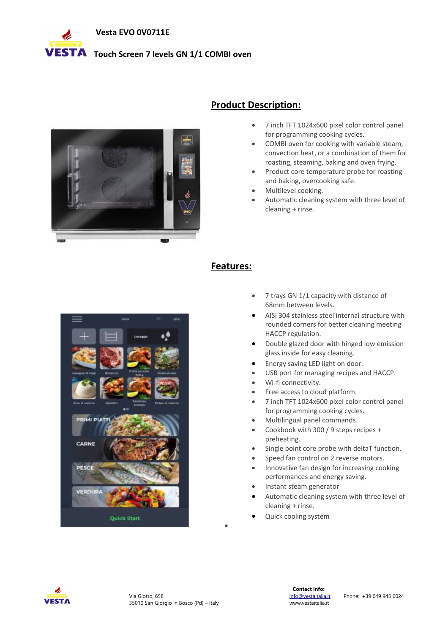

# **VESTA** Touch Screen 7 levels GN 1/1 COMBI oven



### **Product Description:**

- 7 inch TFT 1024x600 pixel color control panel for programming cooking cycles.
- COMBI oven for cooking with variable steam, convection heat, or a combination of them for roasting, steaming, baking and oven frying.
- Product core temperature probe for roasting and baking, overcooking safe.
- Multilevel cooking.
- Automatic cleaning system with three level of cleaning + rinse.



#### **Features:**

 $\bullet$ 

- 7 trays GN 1/1 capacity with distance of 68mm between levels.
- AISI 304 stainless steel internal structure with rounded corners for better cleaning meeting HACCP regulation.
- Double glazed door with hinged low emission glass inside for easy cleaning.
- Energy saving LED light on door.
- USB port for managing recipes and HACCP.
- Wi-fi connectivity.
- Free access to cloud platform.
- 7 inch TFT 1024x600 pixel color control panel for programming cooking cycles.
- Multilingual panel commands.
- Cookbook with 300 / 9 steps recipes + preheating.
- Single point core probe with deltaT function.
- Speed fan control on 2 reverse motors.
- Innovative fan design for increasing cooking performances and energy saving.
- Instant steam generator
- Automatic cleaning system with three level of cleaning + rinse.
- Quick cooling system

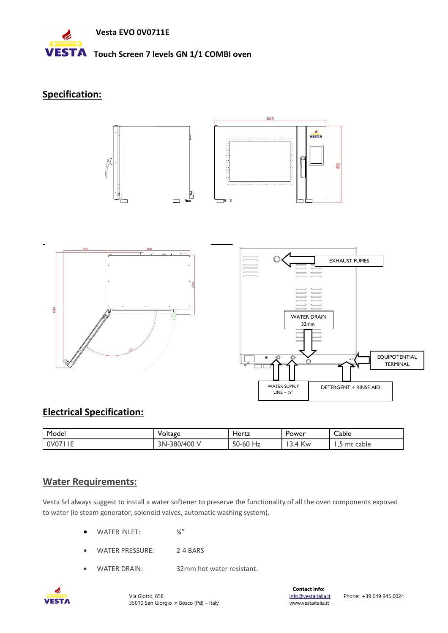

#### **Specification:**









## **Electrical Specification:**

| Model                                | Voltage                       | Hertz                                 | Power               | Cable           |
|--------------------------------------|-------------------------------|---------------------------------------|---------------------|-----------------|
| . .<br>0 <sub>V</sub> 0 <sub>Z</sub> | -380/400<br>ን N<br>I N –<br>◡ | $E^{\prime}$<br>$\sim$<br>Hz<br>50-60 | $\sim$<br>' Kw<br>ᅭ | mt cable<br>. . |

### **Water Requirements:**

Vesta Srl always suggest to install a water softener to preserve the functionality of all the oven components exposed to water (ie steam generator, solenoid valves, automatic washing system).

- WATER INLET:  $\frac{3}{4}$ "
- WATER PRESSURE: 2-4 BARS
- WATER DRAIN: 32mm hot water resistant.